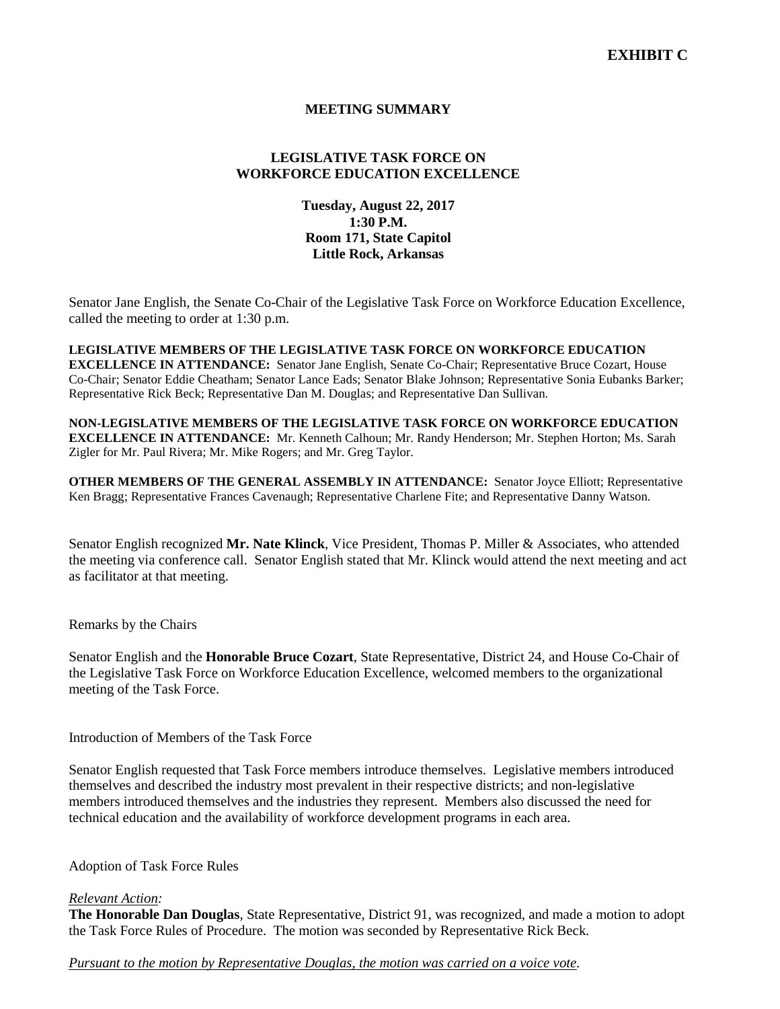# **MEETING SUMMARY**

# **LEGISLATIVE TASK FORCE ON WORKFORCE EDUCATION EXCELLENCE**

**Tuesday, August 22, 2017 1:30 P.M. Room 171, State Capitol Little Rock, Arkansas**

Senator Jane English, the Senate Co-Chair of the Legislative Task Force on Workforce Education Excellence, called the meeting to order at 1:30 p.m.

**LEGISLATIVE MEMBERS OF THE LEGISLATIVE TASK FORCE ON WORKFORCE EDUCATION EXCELLENCE IN ATTENDANCE:** Senator Jane English, Senate Co-Chair; Representative Bruce Cozart, House Co-Chair; Senator Eddie Cheatham; Senator Lance Eads; Senator Blake Johnson; Representative Sonia Eubanks Barker; Representative Rick Beck; Representative Dan M. Douglas; and Representative Dan Sullivan.

# **NON-LEGISLATIVE MEMBERS OF THE LEGISLATIVE TASK FORCE ON WORKFORCE EDUCATION**

**EXCELLENCE IN ATTENDANCE:** Mr. Kenneth Calhoun; Mr. Randy Henderson; Mr. Stephen Horton; Ms. Sarah Zigler for Mr. Paul Rivera; Mr. Mike Rogers; and Mr. Greg Taylor.

**OTHER MEMBERS OF THE GENERAL ASSEMBLY IN ATTENDANCE:** Senator Joyce Elliott; Representative Ken Bragg; Representative Frances Cavenaugh; Representative Charlene Fite; and Representative Danny Watson.

Senator English recognized **Mr. Nate Klinck**, Vice President, Thomas P. Miller & Associates, who attended the meeting via conference call. Senator English stated that Mr. Klinck would attend the next meeting and act as facilitator at that meeting.

Remarks by the Chairs

Senator English and the **Honorable Bruce Cozart**, State Representative, District 24, and House Co-Chair of the Legislative Task Force on Workforce Education Excellence, welcomed members to the organizational meeting of the Task Force.

Introduction of Members of the Task Force

Senator English requested that Task Force members introduce themselves. Legislative members introduced themselves and described the industry most prevalent in their respective districts; and non-legislative members introduced themselves and the industries they represent. Members also discussed the need for technical education and the availability of workforce development programs in each area.

## Adoption of Task Force Rules

#### *Relevant Action:*

**The Honorable Dan Douglas**, State Representative, District 91, was recognized, and made a motion to adopt the Task Force Rules of Procedure. The motion was seconded by Representative Rick Beck.

*Pursuant to the motion by Representative Douglas, the motion was carried on a voice vote.*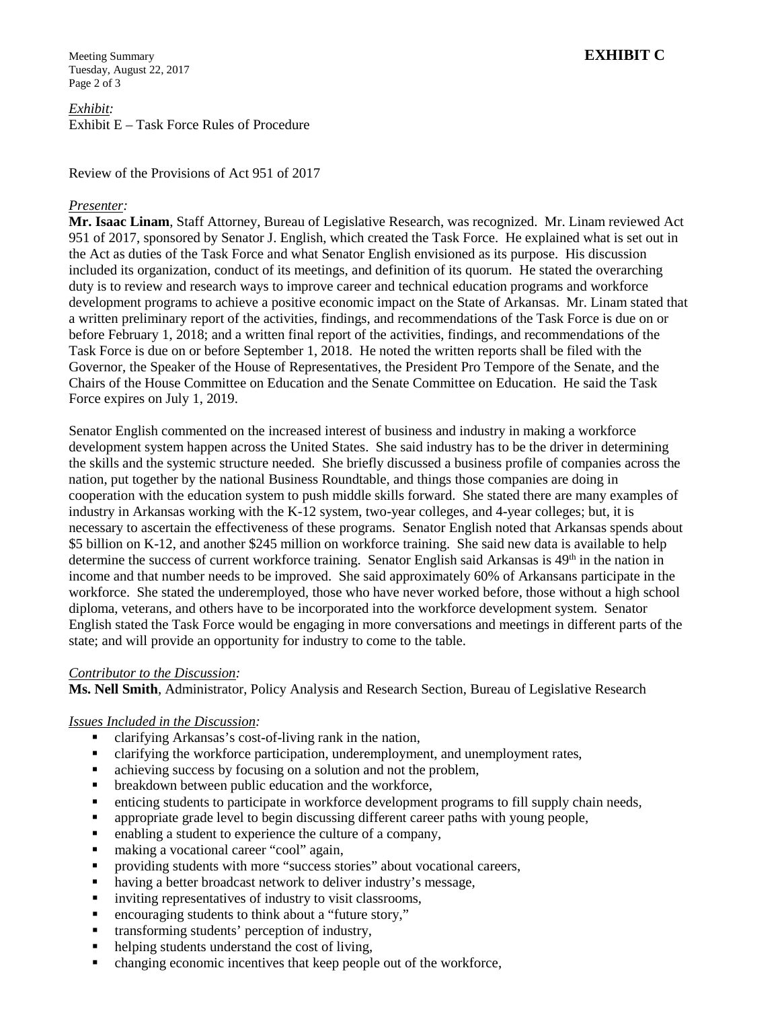Meeting Summary **EXHIBIT C** Tuesday, August 22, 2017 Page 2 of 3

*Exhibit:* Exhibit E – Task Force Rules of Procedure

Review of the Provisions of Act 951 of 2017

### *Presenter:*

**Mr. Isaac Linam**, Staff Attorney, Bureau of Legislative Research, was recognized. Mr. Linam reviewed Act 951 of 2017, sponsored by Senator J. English, which created the Task Force. He explained what is set out in the Act as duties of the Task Force and what Senator English envisioned as its purpose. His discussion included its organization, conduct of its meetings, and definition of its quorum. He stated the overarching duty is to review and research ways to improve career and technical education programs and workforce development programs to achieve a positive economic impact on the State of Arkansas. Mr. Linam stated that a written preliminary report of the activities, findings, and recommendations of the Task Force is due on or before February 1, 2018; and a written final report of the activities, findings, and recommendations of the Task Force is due on or before September 1, 2018. He noted the written reports shall be filed with the Governor, the Speaker of the House of Representatives, the President Pro Tempore of the Senate, and the Chairs of the House Committee on Education and the Senate Committee on Education. He said the Task Force expires on July 1, 2019.

Senator English commented on the increased interest of business and industry in making a workforce development system happen across the United States. She said industry has to be the driver in determining the skills and the systemic structure needed. She briefly discussed a business profile of companies across the nation, put together by the national Business Roundtable, and things those companies are doing in cooperation with the education system to push middle skills forward. She stated there are many examples of industry in Arkansas working with the K-12 system, two-year colleges, and 4-year colleges; but, it is necessary to ascertain the effectiveness of these programs. Senator English noted that Arkansas spends about \$5 billion on K-12, and another \$245 million on workforce training. She said new data is available to help determine the success of current workforce training. Senator English said Arkansas is 49<sup>th</sup> in the nation in income and that number needs to be improved. She said approximately 60% of Arkansans participate in the workforce. She stated the underemployed, those who have never worked before, those without a high school diploma, veterans, and others have to be incorporated into the workforce development system. Senator English stated the Task Force would be engaging in more conversations and meetings in different parts of the state; and will provide an opportunity for industry to come to the table.

#### *Contributor to the Discussion:*

**Ms. Nell Smith**, Administrator, Policy Analysis and Research Section, Bureau of Legislative Research

#### *Issues Included in the Discussion:*

- clarifying Arkansas's cost-of-living rank in the nation,
- clarifying the workforce participation, underemployment, and unemployment rates,
- achieving success by focusing on a solution and not the problem,
- **•** breakdown between public education and the workforce,
- enticing students to participate in workforce development programs to fill supply chain needs,
- appropriate grade level to begin discussing different career paths with young people,
- enabling a student to experience the culture of a company,
- making a vocational career "cool" again,
- providing students with more "success stories" about vocational careers,
- having a better broadcast network to deliver industry's message,
- inviting representatives of industry to visit classrooms,
- encouraging students to think about a "future story,"
- transforming students' perception of industry,
- helping students understand the cost of living,
- changing economic incentives that keep people out of the workforce,